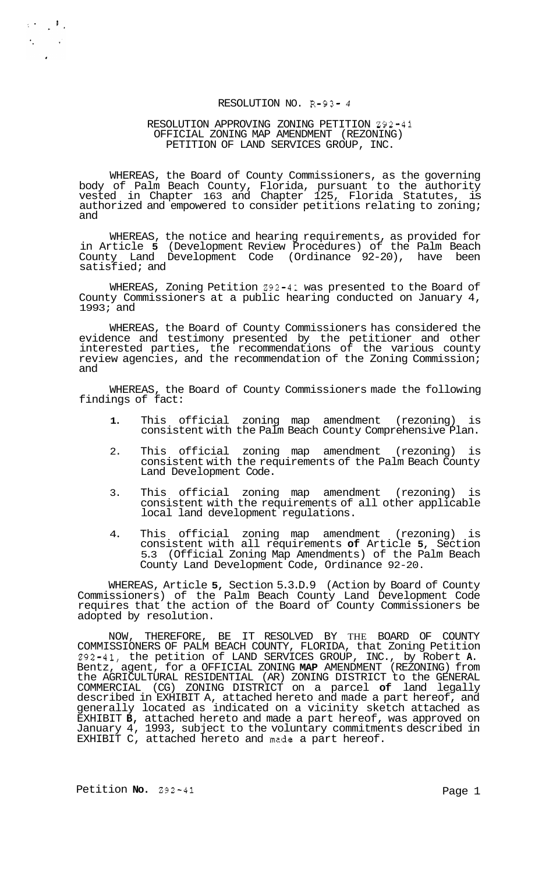# RESOLUTION NO. R-93- *4*

### RESOLUTION APPROVING ZONING PETITION 292-41 PETITION OF LAND SERVICES GROUP, INC. OFFICIAL ZONING MAP AMENDMENT (REZONING)

WHEREAS, the Board of County Commissioners, as the governing body of Palm Beach County, Florida, pursuant to the authority vested in Chapter 163 and Chapter 125, Florida Statutes, is authorized and empowered to consider petitions relating to zoning; and

WHEREAS, the notice and hearing requirements, as provided for in Article **5** (Development Review Procedures) of the Palm Beach County Land Development Code (Ordinance 92-20), have been satisfied; and

WHEREAS, Zoning Petition 292-41 was presented to the Board of County Commissioners at a public hearing conducted on January 4, 1993; and

WHEREAS, the Board of County Commissioners has considered the evidence and testimony presented by the petitioner and other interested parties, the recommendations of the various county review agencies, and the recommendation of the Zoning Commission; and

WHEREAS, the Board of County Commissioners made the following findings of fact:

- **1.** This official zoning map amendment (rezoning) is consistent with the Palm Beach County Comprehensive Plan.
- 2. This official zoning map amendment (rezoning) is consistent with the requirements of the Palm Beach County Land Development Code.
- 3. This official zoning map amendment (rezoning) is consistent with the requirements of all other applicable local land development regulations.
- 4. This official zoning map amendment (rezoning) is consistent with all requirements **of** Article **5,** Section 5.3 (Official Zoning Map Amendments) of the Palm Beach County Land Development Code, Ordinance 92-20.

WHEREAS, Article **5,** Section 5.3.D.9 (Action by Board of County Commissioners) of the Palm Beach County Land Development Code requires that the action of the Board of County Commissioners be adopted by resolution.

NOW, THEREFORE, BE IT RESOLVED BY THE BOARD OF COUNTY COMMISSIONERS OF PALM BEACH COUNTY, FLORIDA, that Zoning Petition 292-41, the petition of LAND SERVICES GROUP, INC., by Robert **A.**  Bentz, agent, for a OFFICIAL ZONING **MAP** AMENDMENT (REZONING) from the AGRICULTURAL RESIDENTIAL (AR) ZONING DISTRICT to the GENERAL COMMERCIAL (CG) ZONING DISTRICT on a parcel **of** land legally described in EXHIBIT A, attached hereto and made a part hereof, and generally located as indicated on a vicinity sketch attached as EXHIBIT **B,** attached hereto and made a part hereof, was approved on January 4, 1993, subject to the voluntary commitments described in EXHIBIT C, attached hereto and made a part hereof.

 $\mathcal{L}(\mathcal{F})=\mathcal{F}(\mathcal{F})$  $\mathcal{L}^{\text{max}}_{\text{max}}$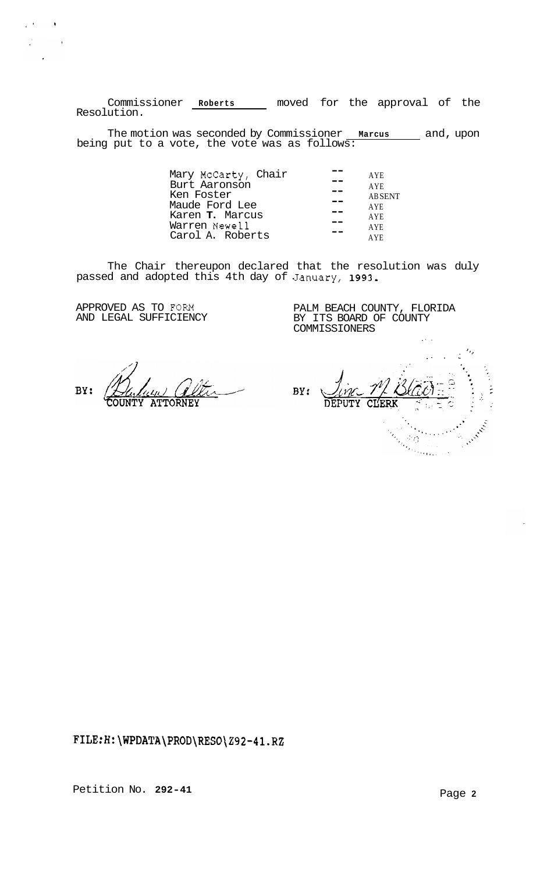Commissioner **Roberts** moved for the approval of the Resolution.

The motion was seconded by Commissioner **Marcus** and, upon being put to a vote, the vote was as follows:

| Mary McCarty, Chair    | <b>AYE</b>    |
|------------------------|---------------|
| Burt Aaronson          | <b>AYE</b>    |
| Ken Foster             | <b>ABSENT</b> |
| Maude Ford Lee         | <b>AYE</b>    |
| Karen <b>T.</b> Marcus | <b>AYE</b>    |
| Warren Newell          | <b>AYE</b>    |
| Carol A. Roberts       | <b>AYE</b>    |
|                        |               |

The Chair thereupon declared that the resolution was duly passed and adopted this 4th day of January, **1993.** 

APPROVED AS TO FORM AND LEGAL SUFFICIENCY

 $\mu$  (  $\lambda$  ) and  $\lambda$ 

 $\frac{1}{2}$  ,  $\frac{1}{2}$  ,  $\frac{1}{2}$  ,  $\frac{1}{2}$  $\mathbf{r}$ 

> PALM BEACH COUNTY, FLORIDA BY ITS BOARD OF COUNTY COMMISSIONERS

BY: **ATTORNEY** 

*.I 'I*   $\mathbf{r}$ BY: Allen Charles  $\frac{1}{2} \frac{1}{\Omega} \left( \frac{1}{\Omega} \right)$ 

,. .

**<FILE:H:\WPDATA\PROD\RESO\292-4l.RZ>**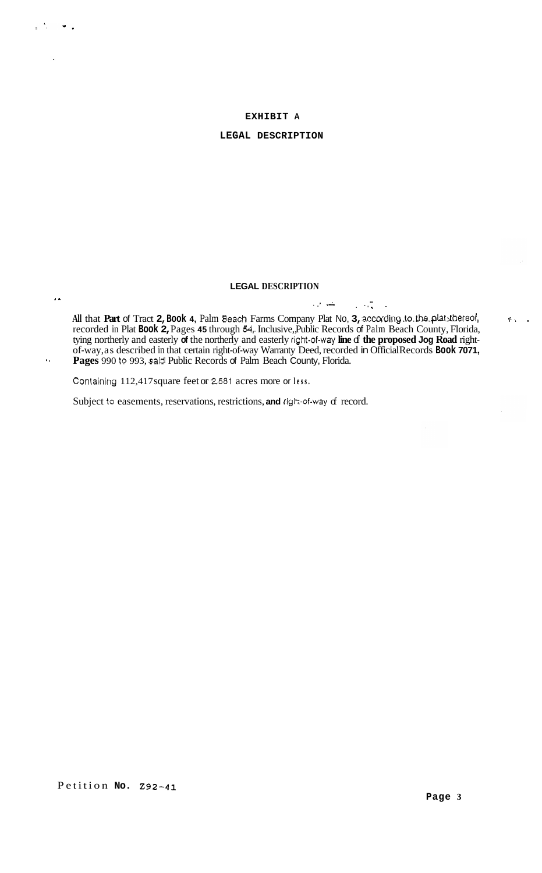## **EXHIBIT A**

### **LEGAL DESCRIPTION**

# **LEGAL DESCRIPTION**

. .. **<A** . **L.** .. ... **All** that **Part** of Tract **2, Book 4,** Palm Beach Farms Company Plat No, **3, according.to.the.plat:Rhereof,**  recorded in Plat **Book 2,** Pages **45** through *54,.* Inclusive,, Public Records of Palm Beach County, Florida, tying northerly and easterly **of** the northerly and easterly **ri@t-of-way line** of **the proposed Jog Road** rightof-way, as described in that certain right-of-way Warranty Deed, recorded in Official Records **Book 7071, Pages** 990 *to* 993, said Public Records of Palm Beach County, Florida.

Containlng 112,417 square feet or **2581** acres more or **less.** 

*I..* 

 $\mathbf{r}$ 

 $\bullet$ .

Subject to easements, reservations, restrictions, and right-of-way of record.

+. **,I**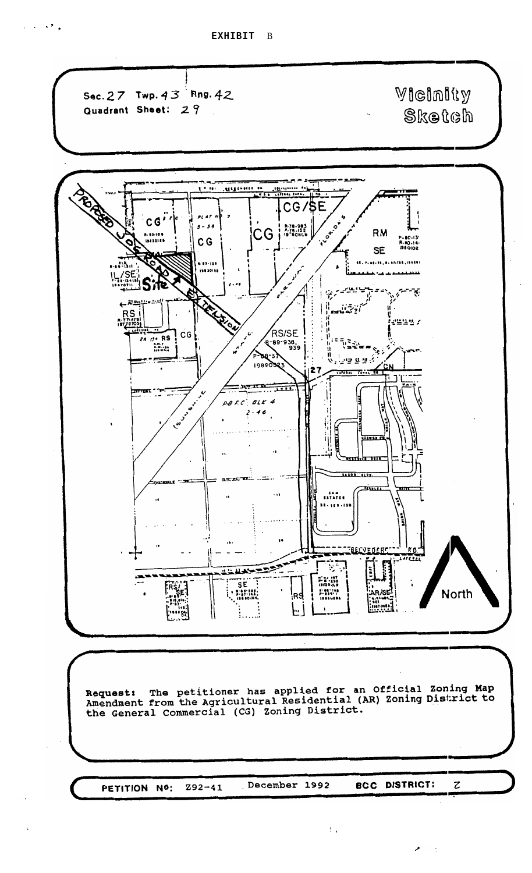$\mathcal{L}^{\mathcal{A}}$  ,  $\mathcal{L}^{\mathcal{B}}$  ,  $\mathcal{L}^{\mathcal{B}}$  ,  $\mathcal{L}^{\mathcal{B}}$ 



December 1992 **BCC DISTRICT:**  $\boldsymbol{z}$  $292 - 41$ PETITION NO:

 $\bar{\Gamma}_{\rm eff}$ 

 $\lambda^{\bullet}$ 

 $\ddot{\phantom{a}}$